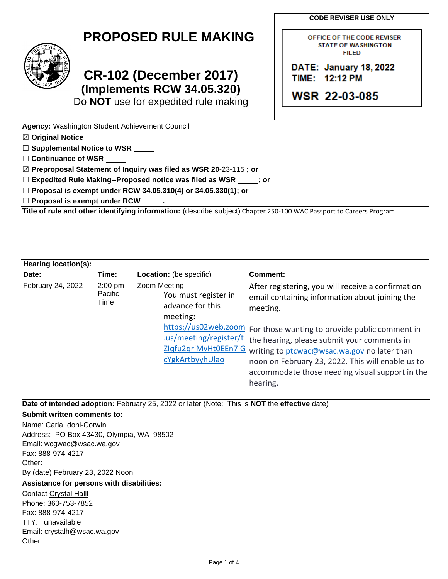**CODE REVISER USE ONLY**

OFFICE OF THE CODE REVISER **STATE OF WASHINGTON FILED** 

DATE: January 18, 2022

TIME: 12:12 PM

**WSR 22-03-085** 

## **PROPOSED RULE MAKING**



## **CR-102 (December 2017) (Implements RCW 34.05.320)**

Do **NOT** use for expedited rule making

| Agency: Washington Student Achievement Council         |                 |                                                                                              |                                                                                                                     |
|--------------------------------------------------------|-----------------|----------------------------------------------------------------------------------------------|---------------------------------------------------------------------------------------------------------------------|
| ⊠ Original Notice                                      |                 |                                                                                              |                                                                                                                     |
| $\Box$ Supplemental Notice to WSR $\rule{1em}{0.15mm}$ |                 |                                                                                              |                                                                                                                     |
| □ Continuance of WSR                                   |                 |                                                                                              |                                                                                                                     |
|                                                        |                 | $\boxtimes$ Preproposal Statement of Inquiry was filed as WSR 20-23-115; or                  |                                                                                                                     |
|                                                        |                 | □ Expedited Rule Making--Proposed notice was filed as WSR _____; or                          |                                                                                                                     |
|                                                        |                 | □ Proposal is exempt under RCW 34.05.310(4) or 34.05.330(1); or                              |                                                                                                                     |
| $\Box$ Proposal is exempt under RCW                    |                 |                                                                                              |                                                                                                                     |
|                                                        |                 |                                                                                              | Title of rule and other identifying information: (describe subject) Chapter 250-100 WAC Passport to Careers Program |
|                                                        |                 |                                                                                              |                                                                                                                     |
|                                                        |                 |                                                                                              |                                                                                                                     |
| <b>Hearing location(s):</b>                            |                 |                                                                                              |                                                                                                                     |
| Date:                                                  | Time:           | Location: (be specific)                                                                      | <b>Comment:</b>                                                                                                     |
| February 24, 2022                                      | 2:00 pm         | Zoom Meeting                                                                                 | After registering, you will receive a confirmation                                                                  |
|                                                        | Pacific<br>Time | You must register in                                                                         | email containing information about joining the                                                                      |
|                                                        |                 | advance for this                                                                             | meeting.                                                                                                            |
|                                                        |                 | meeting:                                                                                     |                                                                                                                     |
|                                                        |                 | https://us02web.zoom                                                                         | For those wanting to provide public comment in                                                                      |
|                                                        |                 | .us/meeting/register/t                                                                       | the hearing, please submit your comments in                                                                         |
|                                                        |                 | ZIqfu2qrjMvHt0EEn7jG                                                                         | writing to ptcwac@wsac.wa.gov no later than                                                                         |
|                                                        |                 | cYgkArtbyyhUlao                                                                              | noon on February 23, 2022. This will enable us to                                                                   |
|                                                        |                 |                                                                                              | accommodate those needing visual support in the                                                                     |
|                                                        |                 |                                                                                              | hearing.                                                                                                            |
|                                                        |                 |                                                                                              |                                                                                                                     |
|                                                        |                 | Date of intended adoption: February 25, 2022 or later (Note: This is NOT the effective date) |                                                                                                                     |
| Submit written comments to:                            |                 |                                                                                              |                                                                                                                     |
| Name: Carla Idohl-Corwin                               |                 |                                                                                              |                                                                                                                     |
| Address: PO Box 43430, Olympia, WA 98502               |                 |                                                                                              |                                                                                                                     |
| Email: wcgwac@wsac.wa.gov                              |                 |                                                                                              |                                                                                                                     |
| Fax: 888-974-4217                                      |                 |                                                                                              |                                                                                                                     |
| Other:                                                 |                 |                                                                                              |                                                                                                                     |
| By (date) February 23, 2022 Noon                       |                 |                                                                                              |                                                                                                                     |
| Assistance for persons with disabilities:              |                 |                                                                                              |                                                                                                                     |
| Contact Crystal Halll                                  |                 |                                                                                              |                                                                                                                     |
| Phone: 360-753-7852                                    |                 |                                                                                              |                                                                                                                     |
| Fax: 888-974-4217                                      |                 |                                                                                              |                                                                                                                     |
| TTY: unavailable                                       |                 |                                                                                              |                                                                                                                     |
| Email: crystalh@wsac.wa.gov                            |                 |                                                                                              |                                                                                                                     |
| Other:                                                 |                 |                                                                                              |                                                                                                                     |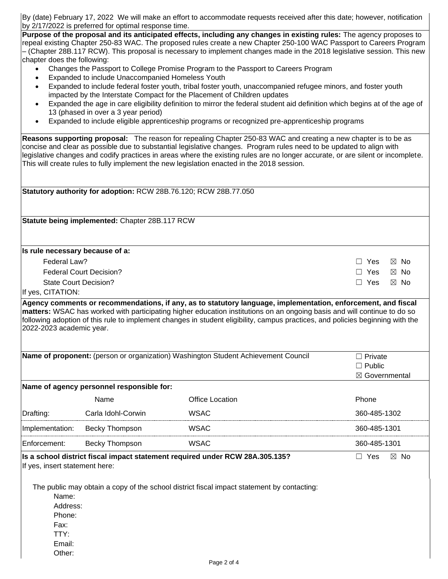By (date) February 17, 2022 We will make an effort to accommodate requests received after this date; however, notification by 2/17/2022 is preferred for optimal response time.

**Purpose of the proposal and its anticipated effects, including any changes in existing rules:** The agency proposes to repeal existing Chapter 250-83 WAC. The proposed rules create a new Chapter 250-100 WAC Passport to Careers Program – (Chapter 28B.117 RCW). This proposal is necessary to implement changes made in the 2018 legislative session. This new chapter does the following:

- Changes the Passport to College Promise Program to the Passport to Careers Program
- Expanded to include Unaccompanied Homeless Youth
- Expanded to include federal foster youth, tribal foster youth, unaccompanied refugee minors, and foster youth impacted by the Interstate Compact for the Placement of Children updates
- Expanded the age in care eligibility definition to mirror the federal student aid definition which begins at of the age of 13 (phased in over a 3 year period)
- Expanded to include eligible apprenticeship programs or recognized pre-apprenticeship programs

**Reasons supporting proposal:** The reason for repealing Chapter 250-83 WAC and creating a new chapter is to be as concise and clear as possible due to substantial legislative changes. Program rules need to be updated to align with legislative changes and codify practices in areas where the existing rules are no longer accurate, or are silent or incomplete. This will create rules to fully implement the new legislation enacted in the 2018 session.

|                                                                                         |                                                | Statutory authority for adoption: RCW 28B.76.120; RCW 28B.77.050                                                                                                                                                                                           |                                           |
|-----------------------------------------------------------------------------------------|------------------------------------------------|------------------------------------------------------------------------------------------------------------------------------------------------------------------------------------------------------------------------------------------------------------|-------------------------------------------|
|                                                                                         |                                                |                                                                                                                                                                                                                                                            |                                           |
|                                                                                         | Statute being implemented: Chapter 28B.117 RCW |                                                                                                                                                                                                                                                            |                                           |
| Is rule necessary because of a:                                                         |                                                |                                                                                                                                                                                                                                                            |                                           |
| Federal Law?                                                                            | Yes<br>$\boxtimes$ No<br>$\mathsf{L}$          |                                                                                                                                                                                                                                                            |                                           |
| <b>Federal Court Decision?</b>                                                          | Yes<br>$\boxtimes$ No                          |                                                                                                                                                                                                                                                            |                                           |
|                                                                                         | <b>State Court Decision?</b>                   |                                                                                                                                                                                                                                                            | $\Box$ Yes<br>$\boxtimes$ No              |
| If yes, CITATION:                                                                       |                                                |                                                                                                                                                                                                                                                            |                                           |
| 2022-2023 academic year.                                                                |                                                | matters: WSAC has worked with participating higher education institutions on an ongoing basis and will continue to do so<br>following adoption of this rule to implement changes in student eligibility, campus practices, and policies beginning with the |                                           |
|                                                                                         |                                                | Name of proponent: (person or organization) Washington Student Achievement Council                                                                                                                                                                         | $\Box$ Private                            |
|                                                                                         |                                                |                                                                                                                                                                                                                                                            | $\Box$ Public<br>$\boxtimes$ Governmental |
|                                                                                         | Name of agency personnel responsible for:      |                                                                                                                                                                                                                                                            |                                           |
|                                                                                         | Name                                           | <b>Office Location</b>                                                                                                                                                                                                                                     | Phone                                     |
| Drafting:                                                                               | Carla Idohl-Corwin                             | <b>WSAC</b>                                                                                                                                                                                                                                                | 360-485-1302                              |
| Implementation:                                                                         | Becky Thompson                                 | <b>WSAC</b>                                                                                                                                                                                                                                                | 360-485-1301                              |
| Enforcement:                                                                            | Becky Thompson                                 | <b>WSAC</b>                                                                                                                                                                                                                                                | 360-485-1301                              |
| If yes, insert statement here:<br>Name:<br>Address:<br>Phone:<br>Fax:<br>TTY:<br>Email: |                                                | Is a school district fiscal impact statement required under RCW 28A.305.135?<br>The public may obtain a copy of the school district fiscal impact statement by contacting:                                                                                 | $\boxtimes$ No<br>$\Box$ Yes              |
| Other:                                                                                  |                                                |                                                                                                                                                                                                                                                            |                                           |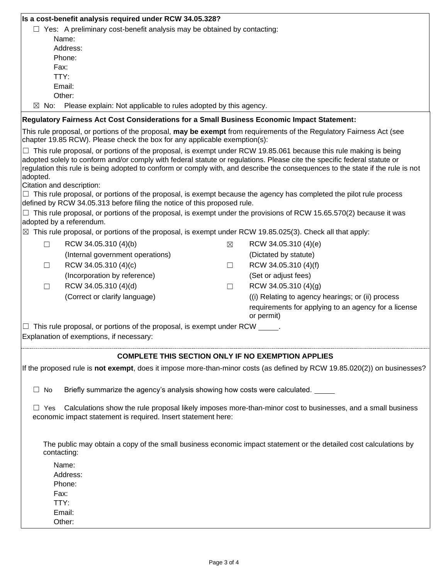|                                                                                                                                                                                            | Is a cost-benefit analysis required under RCW 34.05.328?                                                                                                                                                                                            |   |                                                                                                                                |  |  |  |  |  |
|--------------------------------------------------------------------------------------------------------------------------------------------------------------------------------------------|-----------------------------------------------------------------------------------------------------------------------------------------------------------------------------------------------------------------------------------------------------|---|--------------------------------------------------------------------------------------------------------------------------------|--|--|--|--|--|
|                                                                                                                                                                                            | $\Box$ Yes: A preliminary cost-benefit analysis may be obtained by contacting:                                                                                                                                                                      |   |                                                                                                                                |  |  |  |  |  |
|                                                                                                                                                                                            | Name:                                                                                                                                                                                                                                               |   |                                                                                                                                |  |  |  |  |  |
|                                                                                                                                                                                            | Address:                                                                                                                                                                                                                                            |   |                                                                                                                                |  |  |  |  |  |
|                                                                                                                                                                                            | Phone:                                                                                                                                                                                                                                              |   |                                                                                                                                |  |  |  |  |  |
|                                                                                                                                                                                            | Fax:                                                                                                                                                                                                                                                |   |                                                                                                                                |  |  |  |  |  |
|                                                                                                                                                                                            | TTY:                                                                                                                                                                                                                                                |   |                                                                                                                                |  |  |  |  |  |
|                                                                                                                                                                                            | Email:                                                                                                                                                                                                                                              |   |                                                                                                                                |  |  |  |  |  |
|                                                                                                                                                                                            | Other:                                                                                                                                                                                                                                              |   |                                                                                                                                |  |  |  |  |  |
| $\boxtimes$ No:<br>Please explain: Not applicable to rules adopted by this agency.                                                                                                         |                                                                                                                                                                                                                                                     |   |                                                                                                                                |  |  |  |  |  |
|                                                                                                                                                                                            | Regulatory Fairness Act Cost Considerations for a Small Business Economic Impact Statement:                                                                                                                                                         |   |                                                                                                                                |  |  |  |  |  |
|                                                                                                                                                                                            | This rule proposal, or portions of the proposal, may be exempt from requirements of the Regulatory Fairness Act (see<br>chapter 19.85 RCW). Please check the box for any applicable exemption(s):                                                   |   |                                                                                                                                |  |  |  |  |  |
|                                                                                                                                                                                            | $\Box$ This rule proposal, or portions of the proposal, is exempt under RCW 19.85.061 because this rule making is being<br>adopted solely to conform and/or comply with federal statute or regulations. Please cite the specific federal statute or |   | regulation this rule is being adopted to conform or comply with, and describe the consequences to the state if the rule is not |  |  |  |  |  |
| adopted.                                                                                                                                                                                   |                                                                                                                                                                                                                                                     |   |                                                                                                                                |  |  |  |  |  |
|                                                                                                                                                                                            | Citation and description:                                                                                                                                                                                                                           |   |                                                                                                                                |  |  |  |  |  |
|                                                                                                                                                                                            | $\Box$ This rule proposal, or portions of the proposal, is exempt because the agency has completed the pilot rule process                                                                                                                           |   |                                                                                                                                |  |  |  |  |  |
|                                                                                                                                                                                            | defined by RCW 34.05.313 before filing the notice of this proposed rule.                                                                                                                                                                            |   |                                                                                                                                |  |  |  |  |  |
|                                                                                                                                                                                            | $\Box$ This rule proposal, or portions of the proposal, is exempt under the provisions of RCW 15.65.570(2) because it was                                                                                                                           |   |                                                                                                                                |  |  |  |  |  |
|                                                                                                                                                                                            | adopted by a referendum.                                                                                                                                                                                                                            |   |                                                                                                                                |  |  |  |  |  |
|                                                                                                                                                                                            | $\boxtimes$ This rule proposal, or portions of the proposal, is exempt under RCW 19.85.025(3). Check all that apply:                                                                                                                                |   |                                                                                                                                |  |  |  |  |  |
| П                                                                                                                                                                                          | RCW 34.05.310 (4)(b)                                                                                                                                                                                                                                | ⊠ | RCW 34.05.310 (4)(e)                                                                                                           |  |  |  |  |  |
|                                                                                                                                                                                            | (Internal government operations)                                                                                                                                                                                                                    |   | (Dictated by statute)                                                                                                          |  |  |  |  |  |
| □                                                                                                                                                                                          | RCW 34.05.310 (4)(c)                                                                                                                                                                                                                                | □ | RCW 34.05.310 (4)(f)                                                                                                           |  |  |  |  |  |
|                                                                                                                                                                                            | (Incorporation by reference)                                                                                                                                                                                                                        |   | (Set or adjust fees)                                                                                                           |  |  |  |  |  |
| $\Box$                                                                                                                                                                                     | RCW 34.05.310 (4)(d)                                                                                                                                                                                                                                | □ | RCW 34.05.310 (4)(g)                                                                                                           |  |  |  |  |  |
|                                                                                                                                                                                            | (Correct or clarify language)                                                                                                                                                                                                                       |   | (i) Relating to agency hearings; or (ii) process                                                                               |  |  |  |  |  |
|                                                                                                                                                                                            |                                                                                                                                                                                                                                                     |   | requirements for applying to an agency for a license                                                                           |  |  |  |  |  |
|                                                                                                                                                                                            |                                                                                                                                                                                                                                                     |   | or permit)                                                                                                                     |  |  |  |  |  |
|                                                                                                                                                                                            | $\Box$ This rule proposal, or portions of the proposal, is exempt under RCW $\Box$ .                                                                                                                                                                |   |                                                                                                                                |  |  |  |  |  |
|                                                                                                                                                                                            | Explanation of exemptions, if necessary:                                                                                                                                                                                                            |   |                                                                                                                                |  |  |  |  |  |
|                                                                                                                                                                                            |                                                                                                                                                                                                                                                     |   |                                                                                                                                |  |  |  |  |  |
|                                                                                                                                                                                            | <b>COMPLETE THIS SECTION ONLY IF NO EXEMPTION APPLIES</b>                                                                                                                                                                                           |   |                                                                                                                                |  |  |  |  |  |
|                                                                                                                                                                                            |                                                                                                                                                                                                                                                     |   | If the proposed rule is not exempt, does it impose more-than-minor costs (as defined by RCW 19.85.020(2)) on businesses?       |  |  |  |  |  |
| $\Box$ No                                                                                                                                                                                  | Briefly summarize the agency's analysis showing how costs were calculated. _____                                                                                                                                                                    |   |                                                                                                                                |  |  |  |  |  |
| Calculations show the rule proposal likely imposes more-than-minor cost to businesses, and a small business<br>$\Box$ Yes<br>economic impact statement is required. Insert statement here: |                                                                                                                                                                                                                                                     |   |                                                                                                                                |  |  |  |  |  |
|                                                                                                                                                                                            |                                                                                                                                                                                                                                                     |   |                                                                                                                                |  |  |  |  |  |
|                                                                                                                                                                                            | contacting:                                                                                                                                                                                                                                         |   | The public may obtain a copy of the small business economic impact statement or the detailed cost calculations by              |  |  |  |  |  |
|                                                                                                                                                                                            | Name:                                                                                                                                                                                                                                               |   |                                                                                                                                |  |  |  |  |  |
|                                                                                                                                                                                            | Address:                                                                                                                                                                                                                                            |   |                                                                                                                                |  |  |  |  |  |
|                                                                                                                                                                                            | Phone:                                                                                                                                                                                                                                              |   |                                                                                                                                |  |  |  |  |  |
|                                                                                                                                                                                            | Fax:                                                                                                                                                                                                                                                |   |                                                                                                                                |  |  |  |  |  |
|                                                                                                                                                                                            | TTY:                                                                                                                                                                                                                                                |   |                                                                                                                                |  |  |  |  |  |
|                                                                                                                                                                                            | Email:                                                                                                                                                                                                                                              |   |                                                                                                                                |  |  |  |  |  |
|                                                                                                                                                                                            | Other:                                                                                                                                                                                                                                              |   |                                                                                                                                |  |  |  |  |  |
|                                                                                                                                                                                            |                                                                                                                                                                                                                                                     |   |                                                                                                                                |  |  |  |  |  |